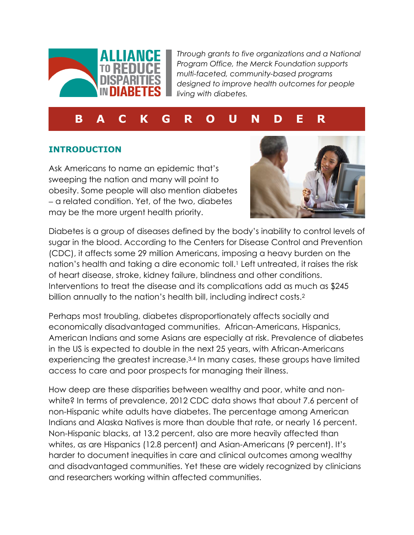

*Through grants to five organizations and a National Program Office, the Merck Foundation supports multi-faceted, community-based programs designed to improve health outcomes for people living with diabetes.*

# **B A C K G R O U N D E R**

## **INTRODUCTION**

Ask Americans to name an epidemic that's sweeping the nation and many will point to obesity. Some people will also mention diabetes a related condition. Yet, of the two, diabetes may be the more urgent health priority.



Diabetes is a group of diseases defined by the body's inability to control levels of sugar in the blood. According to the Centers for Disease Control and Prevention (CDC), it affects some 29 million Americans, imposing a heavy burden on the nation's health and taking a dire economic toll. <sup>1</sup> Left untreated, it raises the risk of heart disease, stroke, kidney failure, blindness and other conditions. Interventions to treat the disease and its complications add as much as \$245 billion annually to the nation's health bill, including indirect costs. 2

Perhaps most troubling, diabetes disproportionately affects socially and economically disadvantaged communities. African-Americans, Hispanics, American Indians and some Asians are especially at risk. Prevalence of diabetes in the US is expected to double in the next 25 years, with African-Americans experiencing the greatest increase. 3,4 In many cases, these groups have limited access to care and poor prospects for managing their illness.

How deep are these disparities between wealthy and poor, white and nonwhite? In terms of prevalence, 2012 CDC data shows that about 7.6 percent of non-Hispanic white adults have diabetes. The percentage among American Indians and Alaska Natives is more than double that rate, or nearly 16 percent. Non-Hispanic blacks, at 13.2 percent, also are more heavily affected than whites, as are Hispanics (12.8 percent) and Asian-Americans (9 percent). It's harder to document inequities in care and clinical outcomes among wealthy and disadvantaged communities. Yet these are widely recognized by clinicians and researchers working within affected communities.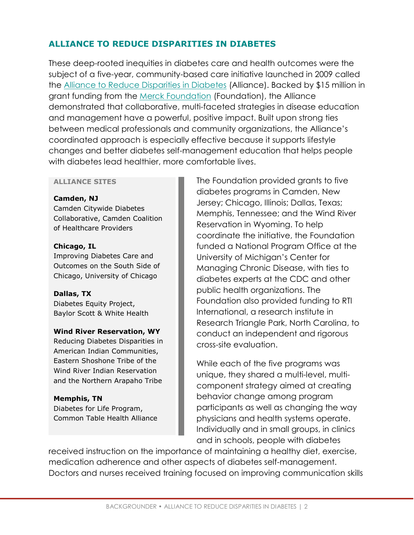# **ALLIANCE TO REDUCE DISPARITIES IN DIABETES**

These deep-rooted inequities in diabetes care and health outcomes were the subject of a five-year, community-based care initiative launched in 2009 called the [Alliance to Reduce Disparities in Diabetes](http://ardd.sph.umich.edu/) (Alliance). Backed by \$15 million in grant funding from the [Merck Foundation](http://www.merckgiving.com/) (Foundation), the Alliance demonstrated that collaborative, multi-faceted strategies in disease education and management have a powerful, positive impact. Built upon strong ties between medical professionals and community organizations, the Alliance's coordinated approach is especially effective because it supports lifestyle changes and better diabetes self-management education that helps people with diabetes lead healthier, more comfortable lives.

#### **ALLIANCE SITES**

**Camden, NJ** Camden Citywide Diabetes Collaborative, Camden Coalition of Healthcare Providers

**Chicago, IL** Improving Diabetes Care and Outcomes on the South Side of Chicago, University of Chicago

**Dallas, TX** Diabetes Equity Project, Baylor Scott & White Health

#### **Wind River Reservation, WY**

Reducing Diabetes Disparities in American Indian Communities, Eastern Shoshone Tribe of the Wind River Indian Reservation and the Northern Arapaho Tribe

**Memphis, TN** Diabetes for Life Program, Common Table Health Alliance The Foundation provided grants to five diabetes programs in Camden, New Jersey; Chicago, Illinois; Dallas, Texas; Memphis, Tennessee; and the Wind River Reservation in Wyoming. To help coordinate the initiative, the Foundation funded a National Program Office at the University of Michigan's Center for Managing Chronic Disease, with ties to diabetes experts at the CDC and other public health organizations. The Foundation also provided funding to RTI International, a research institute in Research Triangle Park, North Carolina, to conduct an independent and rigorous cross-site evaluation.

While each of the five programs was unique, they shared a multi-level, multicomponent strategy aimed at creating behavior change among program participants as well as changing the way physicians and health systems operate. Individually and in small groups, in clinics and in schools, people with diabetes

received instruction on the importance of maintaining a healthy diet, exercise, medication adherence and other aspects of diabetes self-management. Doctors and nurses received training focused on improving communication skills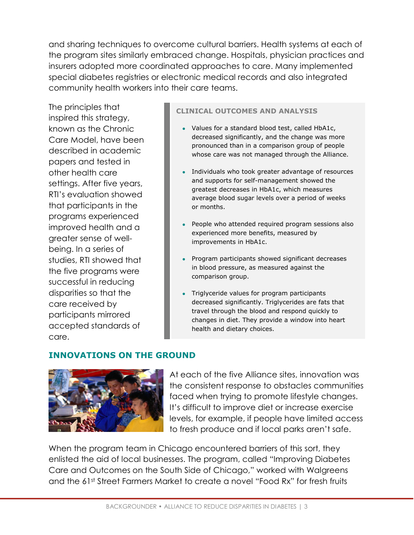and sharing techniques to overcome cultural barriers. Health systems at each of the program sites similarly embraced change. Hospitals, physician practices and insurers adopted more coordinated approaches to care. Many implemented special diabetes registries or electronic medical records and also integrated community health workers into their care teams.

The principles that inspired this strategy, known as the Chronic Care Model, have been described in academic papers and tested in other health care settings. After five years, RTI's evaluation showed that participants in the programs experienced improved health and a greater sense of wellbeing. In a series of studies, RTI showed that the five programs were successful in reducing disparities so that the care received by participants mirrored accepted standards of care.

#### **CLINICAL OUTCOMES AND ANALYSIS**

- Values for a standard blood test, called HbA1c, decreased significantly, and the change was more pronounced than in a comparison group of people whose care was not managed through the Alliance.
- Individuals who took greater advantage of resources and supports for self-management showed the greatest decreases in HbA1c, which measures average blood sugar levels over a period of weeks or months.
- People who attended required program sessions also experienced more benefits, measured by improvements in HbA1c.
- Program participants showed significant decreases in blood pressure, as measured against the comparison group.
- Triglyceride values for program participants decreased significantly. Triglycerides are fats that travel through the blood and respond quickly to changes in diet. They provide a window into heart health and dietary choices.

## **INNOVATIONS ON THE GROUND**



At each of the five Alliance sites, innovation was the consistent response to obstacles communities faced when trying to promote lifestyle changes. It's difficult to improve diet or increase exercise levels, for example, if people have limited access to fresh produce and if local parks aren't safe.

When the program team in Chicago encountered barriers of this sort, they enlisted the aid of local businesses. The program, called "Improving Diabetes Care and Outcomes on the South Side of Chicago," worked with Walgreens and the 61st Street Farmers Market to create a novel "Food Rx" for fresh fruits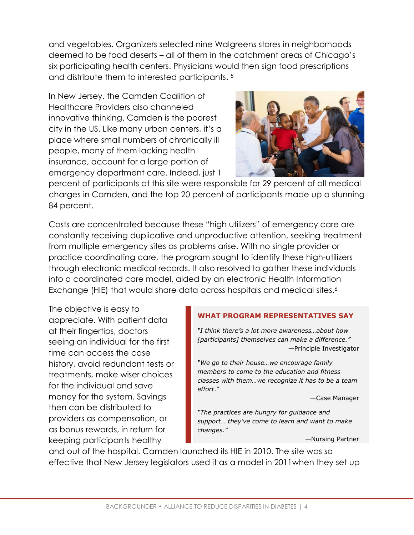and vegetables. Organizers selected nine Walgreens stores in neighborhoods deemed to be food deserts – all of them in the catchment areas of Chicago's six participating health centers. Physicians would then sign food prescriptions and distribute them to interested participants. 5

In New Jersey, the Camden Coalition of Healthcare Providers also channeled innovative thinking. Camden is the poorest city in the US. Like many urban centers, it's a place where small numbers of chronically ill people, many of them lacking health insurance, account for a large portion of emergency department care. Indeed, just 1



percent of participants at this site were responsible for 29 percent of all medical charges in Camden, and the top 20 percent of participants made up a stunning 84 percent.

Costs are concentrated because these "high utilizers" of emergency care are constantly receiving duplicative and unproductive attention, seeking treatment from multiple emergency sites as problems arise. With no single provider or practice coordinating care, the program sought to identify these high-utilizers through electronic medical records. It also resolved to gather these individuals into a coordinated care model, aided by an electronic Health Information Exchange (HIE) that would share data across hospitals and medical sites.<sup>6</sup>

The objective is easy to appreciate. With patient data at their fingertips, doctors seeing an individual for the first time can access the case history, avoid redundant tests or treatments, make wiser choices for the individual and save money for the system. Savings then can be distributed to providers as compensation, or as bonus rewards, in return for keeping participants healthy

#### **WHAT PROGRAM REPRESENTATIVES SAY**

*"I think there's a lot more awareness…about how [participants] themselves can make a difference."* —Principle Investigator

*"We go to their house…we encourage family members to come to the education and fitness classes with them…we recognize it has to be a team effort*."

—Case Manager

*"The practices are hungry for guidance and support… they've come to learn and want to make changes."*

—Nursing Partner

and out of the hospital. Camden launched its HIE in 2010. The site was so effective that New Jersey legislators used it as a model in 2011when they set up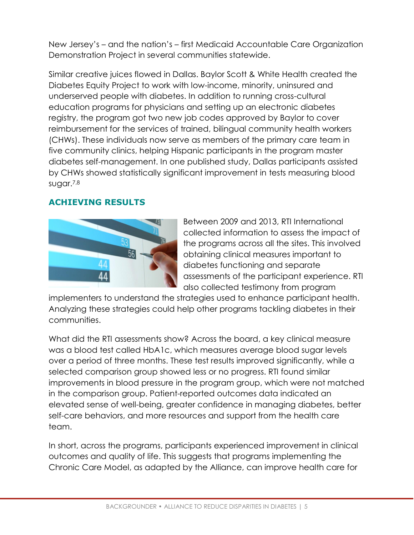New Jersey's – and the nation's – first Medicaid Accountable Care Organization Demonstration Project in several communities statewide.

Similar creative juices flowed in Dallas. Baylor Scott & White Health created the Diabetes Equity Project to work with low-income, minority, uninsured and underserved people with diabetes. In addition to running cross-cultural education programs for physicians and setting up an electronic diabetes registry, the program got two new job codes approved by Baylor to cover reimbursement for the services of trained, bilingual community health workers (CHWs). These individuals now serve as members of the primary care team in five community clinics, helping Hispanic participants in the program master diabetes self-management. In one published study, Dallas participants assisted by CHWs showed statistically significant improvement in tests measuring blood sugar.7,8

## **ACHIEVING RESULTS**



Between 2009 and 2013, RTI International collected information to assess the impact of the programs across all the sites. This involved obtaining clinical measures important to diabetes functioning and separate assessments of the participant experience. RTI also collected testimony from program

implementers to understand the strategies used to enhance participant health. Analyzing these strategies could help other programs tackling diabetes in their communities.

What did the RTI assessments show? Across the board, a key clinical measure was a blood test called HbA1c, which measures average blood sugar levels over a period of three months. These test results improved significantly, while a selected comparison group showed less or no progress. RTI found similar improvements in blood pressure in the program group, which were not matched in the comparison group. Patient-reported outcomes data indicated an elevated sense of well-being, greater confidence in managing diabetes, better self-care behaviors, and more resources and support from the health care team.

In short, across the programs, participants experienced improvement in clinical outcomes and quality of life. This suggests that programs implementing the Chronic Care Model, as adapted by the Alliance, can improve health care for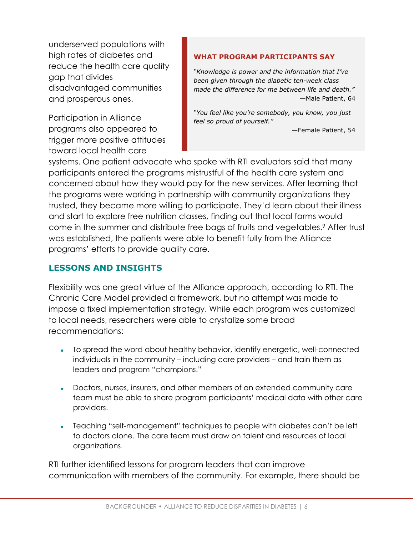underserved populations with high rates of diabetes and reduce the health care quality gap that divides disadvantaged communities and prosperous ones.

Participation in Alliance programs also appeared to trigger more positive attitudes toward local health care

#### **WHAT PROGRAM PARTICIPANTS SAY**

*"Knowledge is power and the information that I've been given through the diabetic ten-week class made the difference for me between life and death."* —Male Patient, 64

*"You feel like you're somebody, you know, you just feel so proud of yourself."* 

—Female Patient, 54

systems. One patient advocate who spoke with RTI evaluators said that many participants entered the programs mistrustful of the health care system and concerned about how they would pay for the new services. After learning that the programs were working in partnership with community organizations they trusted, they became more willing to participate. They'd learn about their illness and start to explore free nutrition classes, finding out that local farms would come in the summer and distribute free bags of fruits and vegetables.<sup>9</sup> After trust was established, the patients were able to benefit fully from the Alliance programs' efforts to provide quality care.

## **LESSONS AND INSIGHTS**

Flexibility was one great virtue of the Alliance approach, according to RTI. The Chronic Care Model provided a framework, but no attempt was made to impose a fixed implementation strategy. While each program was customized to local needs, researchers were able to crystalize some broad recommendations:

- To spread the word about healthy behavior, identify energetic, well-connected individuals in the community – including care providers – and train them as leaders and program "champions."
- Doctors, nurses, insurers, and other members of an extended community care team must be able to share program participants' medical data with other care providers.
- Teaching "self-management" techniques to people with diabetes can't be left to doctors alone. The care team must draw on talent and resources of local organizations.

RTI further identified lessons for program leaders that can improve communication with members of the community. For example, there should be